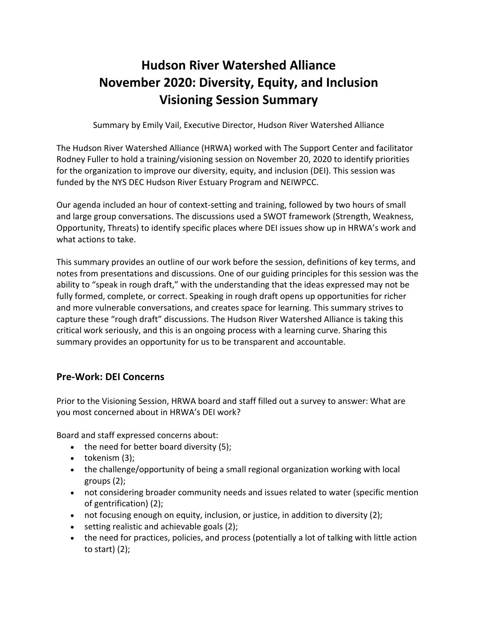# **Hudson River Watershed Alliance November 2020: Diversity, Equity, and Inclusion Visioning Session Summary**

Summary by Emily Vail, Executive Director, Hudson River Watershed Alliance

The Hudson River Watershed Alliance (HRWA) worked with The Support Center and facilitator Rodney Fuller to hold a training/visioning session on November 20, 2020 to identify priorities for the organization to improve our diversity, equity, and inclusion (DEI). This session was funded by the NYS DEC Hudson River Estuary Program and NEIWPCC.

Our agenda included an hour of context-setting and training, followed by two hours of small and large group conversations. The discussions used a SWOT framework (Strength, Weakness, Opportunity, Threats) to identify specific places where DEI issues show up in HRWA's work and what actions to take.

This summary provides an outline of our work before the session, definitions of key terms, and notes from presentations and discussions. One of our guiding principles for this session was the ability to "speak in rough draft," with the understanding that the ideas expressed may not be fully formed, complete, or correct. Speaking in rough draft opens up opportunities for richer and more vulnerable conversations, and creates space for learning. This summary strives to capture these "rough draft" discussions. The Hudson River Watershed Alliance is taking this critical work seriously, and this is an ongoing process with a learning curve. Sharing this summary provides an opportunity for us to be transparent and accountable.

# **Pre-Work: DEI Concerns**

Prior to the Visioning Session, HRWA board and staff filled out a survey to answer: What are you most concerned about in HRWA's DEI work?

Board and staff expressed concerns about:

- the need for better board diversity (5);
- tokenism (3);
- the challenge/opportunity of being a small regional organization working with local groups (2);
- not considering broader community needs and issues related to water (specific mention of gentrification) (2);
- not focusing enough on equity, inclusion, or justice, in addition to diversity (2);
- setting realistic and achievable goals (2);
- the need for practices, policies, and process (potentially a lot of talking with little action to start) (2);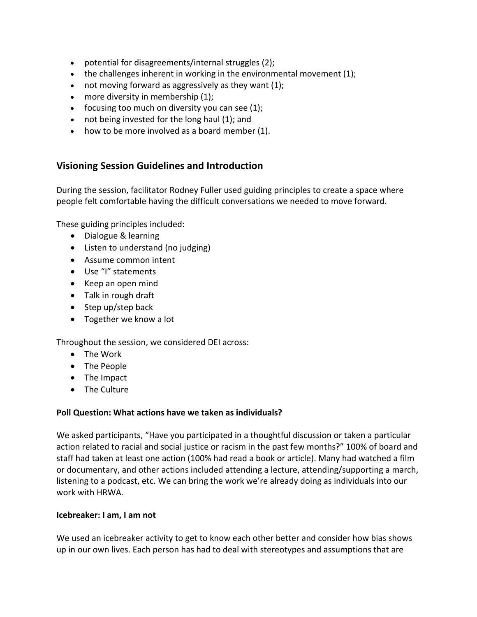- potential for disagreements/internal struggles (2);
- $\bullet$  the challenges inherent in working in the environmental movement (1);
- not moving forward as aggressively as they want (1);
- more diversity in membership (1);
- focusing too much on diversity you can see  $(1)$ ;
- not being invested for the long haul (1); and
- how to be more involved as a board member (1).

# **Visioning Session Guidelines and Introduction**

During the session, facilitator Rodney Fuller used guiding principles to create a space where people felt comfortable having the difficult conversations we needed to move forward.

These guiding principles included:

- Dialogue & learning
- Listen to understand (no judging)
- Assume common intent
- Use "I" statements
- Keep an open mind
- Talk in rough draft
- Step up/step back
- Together we know a lot

Throughout the session, we considered DEI across:

- The Work
- The People
- The Impact
- The Culture

#### **Poll Question: What actions have we taken as individuals?**

We asked participants, "Have you participated in a thoughtful discussion or taken a particular action related to racial and social justice or racism in the past few months?" 100% of board and staff had taken at least one action (100% had read a book or article). Many had watched a film or documentary, and other actions included attending a lecture, attending/supporting a march, listening to a podcast, etc. We can bring the work we're already doing as individuals into our work with HRWA.

#### **Icebreaker: I am, I am not**

We used an icebreaker activity to get to know each other better and consider how bias shows up in our own lives. Each person has had to deal with stereotypes and assumptions that are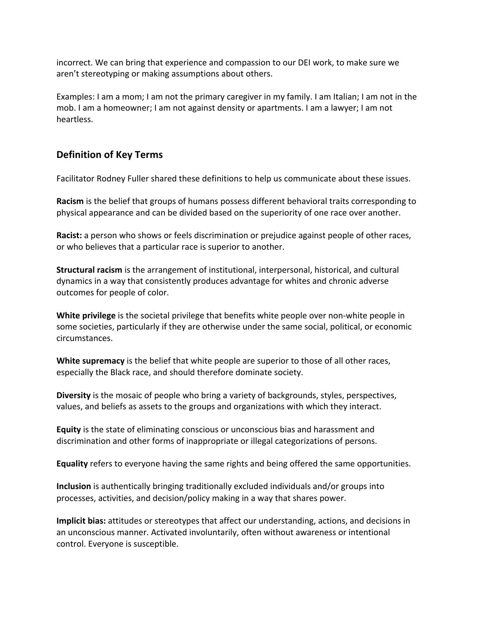incorrect. We can bring that experience and compassion to our DEI work, to make sure we aren't stereotyping or making assumptions about others.

Examples: I am a mom; I am not the primary caregiver in my family. I am Italian; I am not in the mob. I am a homeowner; I am not against density or apartments. I am a lawyer; I am not heartless.

#### **Definition of Key Terms**

Facilitator Rodney Fuller shared these definitions to help us communicate about these issues.

**Racism** is the belief that groups of humans possess different behavioral traits corresponding to physical appearance and can be divided based on the superiority of one race over another.

**Racist:** a person who shows or feels discrimination or prejudice against people of other races, or who believes that a particular race is superior to another.

**Structural racism** is the arrangement of institutional, interpersonal, historical, and cultural dynamics in a way that consistently produces advantage for whites and chronic adverse outcomes for people of color.

**White privilege** is the societal privilege that benefits white people over non-white people in some societies, particularly if they are otherwise under the same social, political, or economic circumstances.

**White supremacy** is the belief that white people are superior to those of all other races, especially the Black race, and should therefore dominate society.

**Diversity** is the mosaic of people who bring a variety of backgrounds, styles, perspectives, values, and beliefs as assets to the groups and organizations with which they interact.

**Equity** is the state of eliminating conscious or unconscious bias and harassment and discrimination and other forms of inappropriate or illegal categorizations of persons.

**Equality** refers to everyone having the same rights and being offered the same opportunities.

**Inclusion** is authentically bringing traditionally excluded individuals and/or groups into processes, activities, and decision/policy making in a way that shares power.

**Implicit bias:** attitudes or stereotypes that affect our understanding, actions, and decisions in an unconscious manner. Activated involuntarily, often without awareness or intentional control. Everyone is susceptible.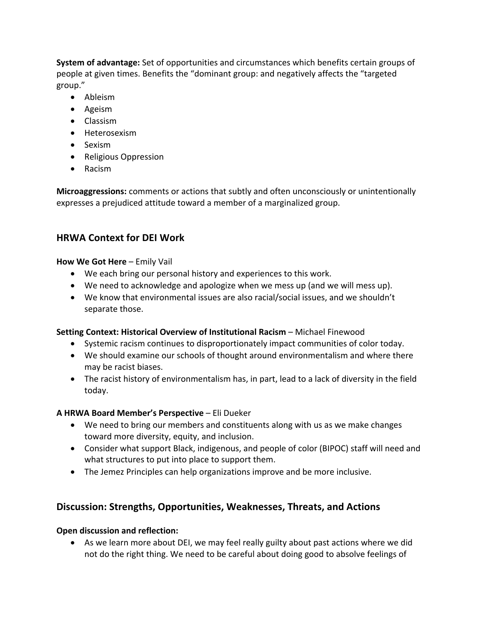**System of advantage:** Set of opportunities and circumstances which benefits certain groups of people at given times. Benefits the "dominant group: and negatively affects the "targeted group."

- Ableism
- Ageism
- Classism
- Heterosexism
- Sexism
- Religious Oppression
- Racism

**Microaggressions:** comments or actions that subtly and often unconsciously or unintentionally expresses a prejudiced attitude toward a member of a marginalized group.

# **HRWA Context for DEI Work**

# **How We Got Here** – Emily Vail

- We each bring our personal history and experiences to this work.
- We need to acknowledge and apologize when we mess up (and we will mess up).
- We know that environmental issues are also racial/social issues, and we shouldn't separate those.

# **Setting Context: Historical Overview of Institutional Racism** – Michael Finewood

- Systemic racism continues to disproportionately impact communities of color today.
- We should examine our schools of thought around environmentalism and where there may be racist biases.
- The racist history of environmentalism has, in part, lead to a lack of diversity in the field today.

# **A HRWA Board Member's Perspective** – Eli Dueker

- We need to bring our members and constituents along with us as we make changes toward more diversity, equity, and inclusion.
- Consider what support Black, indigenous, and people of color (BIPOC) staff will need and what structures to put into place to support them.
- The Jemez Principles can help organizations improve and be more inclusive.

# **Discussion: Strengths, Opportunities, Weaknesses, Threats, and Actions**

# **Open discussion and reflection:**

• As we learn more about DEI, we may feel really guilty about past actions where we did not do the right thing. We need to be careful about doing good to absolve feelings of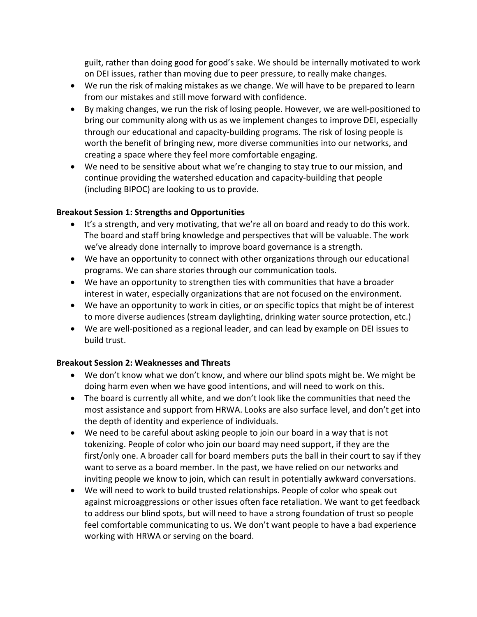guilt, rather than doing good for good's sake. We should be internally motivated to work on DEI issues, rather than moving due to peer pressure, to really make changes.

- We run the risk of making mistakes as we change. We will have to be prepared to learn from our mistakes and still move forward with confidence.
- By making changes, we run the risk of losing people. However, we are well-positioned to bring our community along with us as we implement changes to improve DEI, especially through our educational and capacity-building programs. The risk of losing people is worth the benefit of bringing new, more diverse communities into our networks, and creating a space where they feel more comfortable engaging.
- We need to be sensitive about what we're changing to stay true to our mission, and continue providing the watershed education and capacity-building that people (including BIPOC) are looking to us to provide.

#### **Breakout Session 1: Strengths and Opportunities**

- It's a strength, and very motivating, that we're all on board and ready to do this work. The board and staff bring knowledge and perspectives that will be valuable. The work we've already done internally to improve board governance is a strength.
- We have an opportunity to connect with other organizations through our educational programs. We can share stories through our communication tools.
- We have an opportunity to strengthen ties with communities that have a broader interest in water, especially organizations that are not focused on the environment.
- We have an opportunity to work in cities, or on specific topics that might be of interest to more diverse audiences (stream daylighting, drinking water source protection, etc.)
- We are well-positioned as a regional leader, and can lead by example on DEI issues to build trust.

#### **Breakout Session 2: Weaknesses and Threats**

- We don't know what we don't know, and where our blind spots might be. We might be doing harm even when we have good intentions, and will need to work on this.
- The board is currently all white, and we don't look like the communities that need the most assistance and support from HRWA. Looks are also surface level, and don't get into the depth of identity and experience of individuals.
- We need to be careful about asking people to join our board in a way that is not tokenizing. People of color who join our board may need support, if they are the first/only one. A broader call for board members puts the ball in their court to say if they want to serve as a board member. In the past, we have relied on our networks and inviting people we know to join, which can result in potentially awkward conversations.
- We will need to work to build trusted relationships. People of color who speak out against microaggressions or other issues often face retaliation. We want to get feedback to address our blind spots, but will need to have a strong foundation of trust so people feel comfortable communicating to us. We don't want people to have a bad experience working with HRWA or serving on the board.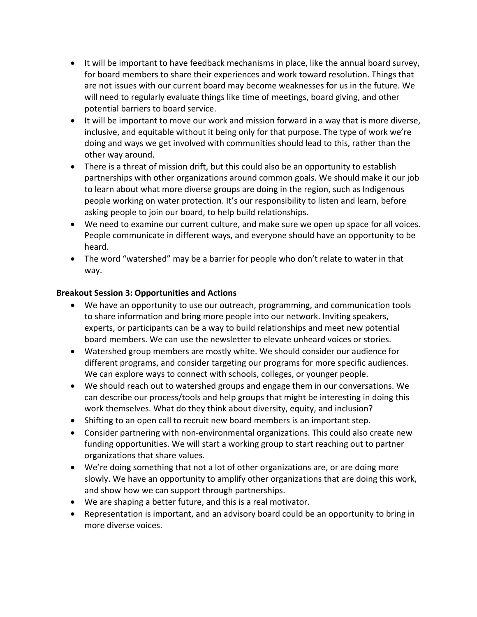- It will be important to have feedback mechanisms in place, like the annual board survey, for board members to share their experiences and work toward resolution. Things that are not issues with our current board may become weaknesses for us in the future. We will need to regularly evaluate things like time of meetings, board giving, and other potential barriers to board service.
- It will be important to move our work and mission forward in a way that is more diverse, inclusive, and equitable without it being only for that purpose. The type of work we're doing and ways we get involved with communities should lead to this, rather than the other way around.
- There is a threat of mission drift, but this could also be an opportunity to establish partnerships with other organizations around common goals. We should make it our job to learn about what more diverse groups are doing in the region, such as Indigenous people working on water protection. It's our responsibility to listen and learn, before asking people to join our board, to help build relationships.
- We need to examine our current culture, and make sure we open up space for all voices. People communicate in different ways, and everyone should have an opportunity to be heard.
- The word "watershed" may be a barrier for people who don't relate to water in that way.

#### **Breakout Session 3: Opportunities and Actions**

- We have an opportunity to use our outreach, programming, and communication tools to share information and bring more people into our network. Inviting speakers, experts, or participants can be a way to build relationships and meet new potential board members. We can use the newsletter to elevate unheard voices or stories.
- Watershed group members are mostly white. We should consider our audience for different programs, and consider targeting our programs for more specific audiences. We can explore ways to connect with schools, colleges, or younger people.
- We should reach out to watershed groups and engage them in our conversations. We can describe our process/tools and help groups that might be interesting in doing this work themselves. What do they think about diversity, equity, and inclusion?
- Shifting to an open call to recruit new board members is an important step.
- Consider partnering with non-environmental organizations. This could also create new funding opportunities. We will start a working group to start reaching out to partner organizations that share values.
- We're doing something that not a lot of other organizations are, or are doing more slowly. We have an opportunity to amplify other organizations that are doing this work, and show how we can support through partnerships.
- We are shaping a better future, and this is a real motivator.
- Representation is important, and an advisory board could be an opportunity to bring in more diverse voices.